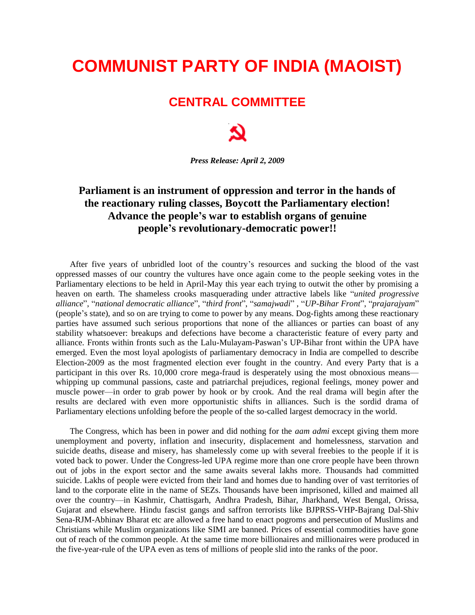## **COMMUNIST PARTY OF INDIA (MAOIST)**

## **CENTRAL COMMITTEE**

*Press Release: April 2, 2009*

## **Parliament is an instrument of oppression and terror in the hands of the reactionary ruling classes, Boycott the Parliamentary election! Advance the people's war to establish organs of genuine people's revolutionary-democratic power!!**

After five years of unbridled loot of the country's resources and sucking the blood of the vast oppressed masses of our country the vultures have once again come to the people seeking votes in the Parliamentary elections to be held in April-May this year each trying to outwit the other by promising a heaven on earth. The shameless crooks masquerading under attractive labels like "*united progressive alliance*", "*national democratic alliance*", "*third front*", "*samajwadi*" , "*UP-Bihar Front*", "*prajarajyam*" (people's state), and so on are trying to come to power by any means. Dog-fights among these reactionary parties have assumed such serious proportions that none of the alliances or parties can boast of any stability whatsoever: breakups and defections have become a characteristic feature of every party and alliance. Fronts within fronts such as the Lalu-Mulayam-Paswan's UP-Bihar front within the UPA have emerged. Even the most loyal apologists of parliamentary democracy in India are compelled to describe Election-2009 as the most fragmented election ever fought in the country. And every Party that is a participant in this over Rs. 10,000 crore mega-fraud is desperately using the most obnoxious means whipping up communal passions, caste and patriarchal prejudices, regional feelings, money power and muscle power—in order to grab power by hook or by crook. And the real drama will begin after the results are declared with even more opportunistic shifts in alliances. Such is the sordid drama of Parliamentary elections unfolding before the people of the so-called largest democracy in the world.

The Congress, which has been in power and did nothing for the *aam admi* except giving them more unemployment and poverty, inflation and insecurity, displacement and homelessness, starvation and suicide deaths, disease and misery, has shamelessly come up with several freebies to the people if it is voted back to power. Under the Congress-led UPA regime more than one crore people have been thrown out of jobs in the export sector and the same awaits several lakhs more. Thousands had committed suicide. Lakhs of people were evicted from their land and homes due to handing over of vast territories of land to the corporate elite in the name of SEZs. Thousands have been imprisoned, killed and maimed all over the country—in Kashmir, Chattisgarh, Andhra Pradesh, Bihar, Jharkhand, West Bengal, Orissa, Gujarat and elsewhere. Hindu fascist gangs and saffron terrorists like BJPRSS-VHP-Bajrang Dal-Shiv Sena-RJM-Abhinav Bharat etc are allowed a free hand to enact pogroms and persecution of Muslims and Christians while Muslim organizations like SIMI are banned. Prices of essential commodities have gone out of reach of the common people. At the same time more billionaires and millionaires were produced in the five-year-rule of the UPA even as tens of millions of people slid into the ranks of the poor.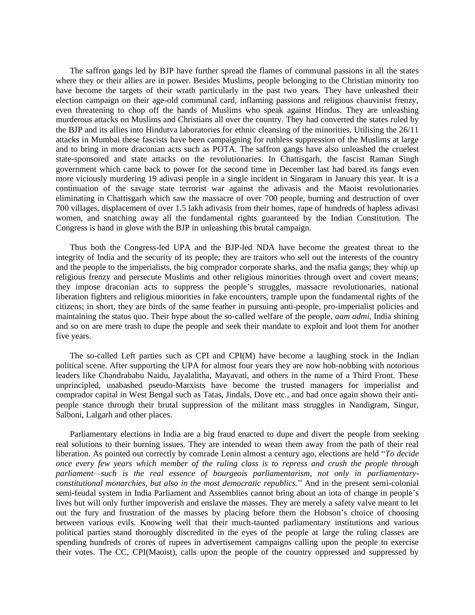The saffron gangs led by BJP have further spread the flames of communal passions in all the states where they or their allies are in power. Besides Muslims, people belonging to the Christian minority too have become the targets of their wrath particularly in the past two years. They have unleashed their election campaign on their age-old communal card, inflaming passions and religious chauvinist frenzy, even threatening to chop off the hands of Muslims who speak against Hindus. They are unleashing murderous attacks on Muslims and Christians all over the country. They had converted the states ruled by the BJP and its allies into Hindutva laboratories for ethnic cleansing of the minorities. Utilising the 26/11 attacks in Mumbai these fascists have been campaigning for ruthless suppression of the Muslims at large and to bring in more draconian acts such as POTA. The saffron gangs have also unleashed the cruelest state-sponsored and state attacks on the revolutionaries. In Chattisgarh, the fascist Raman Singh government which came back to power for the second time in December last had bared its fangs even more viciously murdering 19 adivasi people in a single incident in Singaram in January this year. It is a continuation of the savage state terrorist war against the adivasis and the Maoist revolutionaries eliminating in Chattisgarh which saw the massacre of over 700 people, burning and destruction of over 700 villages, displacement of over 1.5 lakh adivasis from their homes, rape of hundreds of hapless adivasi women, and snatching away all the fundamental rights guaranteed by the Indian Constitution. The Congress is hand in glove with the BJP in unleashing this brutal campaign.

Thus both the Congress-led UPA and the BJP-led NDA have become the greatest threat to the integrity of India and the security of its people; they are traitors who sell out the interests of the country and the people to the imperialists, the big comprador corporate sharks, and the mafia gangs; they whip up religious frenzy and persecute Muslims and other religious minorities through overt and covert means; they impose draconian acts to suppress the people's struggles, massacre revolutionaries, national liberation fighters and religious minorities in fake encounters, trample upon the fundamental rights of the citizens; in short, they are birds of the same feather in pursuing anti-people, pro-imperialist policies and maintaining the status quo. Their hype about the so-called welfare of the people, *aam admi*, India shining and so on are mere trash to dupe the people and seek their mandate to exploit and loot them for another five years.

The so-called Left parties such as CPI and CPI(M) have become a laughing stock in the Indian political scene. After supporting the UPA for almost four years they are now hob-nobbing with notorious leaders like Chandrababu Naidu, Jayalalitha, Mayavati, and others in the name of a Third Front. These unprincipled, unabashed pseudo-Marxists have become the trusted managers for imperialist and comprador capital in West Bengal such as Tatas, Jindals, Dove etc., and had once again shown their antipeople stance through their brutal suppression of the militant mass struggles in Nandigram, Singur, Salboni, Lalgarh and other places.

Parliamentary elections in India are a big fraud enacted to dupe and divert the people from seeking real solutions to their burning issues. They are intended to wean them away from the path of their real liberation. As pointed out correctly by comrade Lenin almost a century ago, elections are held "*To decide once every few years which member of the ruling class is to repress and crush the people through parliament—such is the real essence of bourgeois parliamentarism, not only in parliamentaryconstitutional monarchies, but also in the most democratic republics.*" And in the present semi-colonial semi-feudal system in India Parliament and Assemblies cannot bring about an iota of change in people's lives but will only further impoverish and enslave the masses. They are merely a safety valve meant to let out the fury and frustration of the masses by placing before them the Hobson's choice of choosing between various evils. Knowing well that their much-taunted parliamentary institutions and various political parties stand thoroughly discredited in the eyes of the people at large the ruling classes are spending hundreds of crores of rupees in advertisement campaigns calling upon the people to exercise their votes. The CC, CPI(Maoist), calls upon the people of the country oppressed and suppressed by